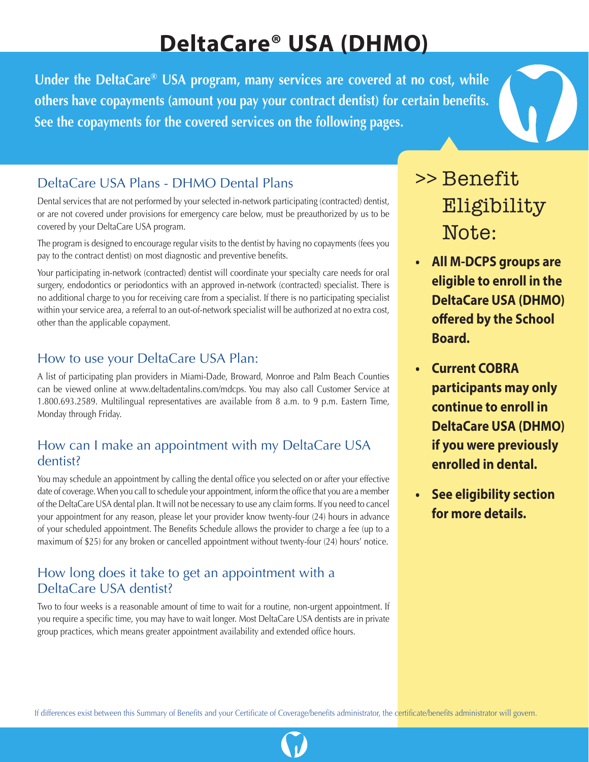# **DeltaCare® USA (DHMO)**

**Under the DeltaCare® USA program, many services are covered at no cost, while others have copayments (amount you pay your contract dentist) for certain benefits. See the copayments for the covered services on the following pages.** 

## DeltaCare USA Plans - DHMO Dental Plans

Dental services that are not performed by your selected in-network participating (contracted) dentist, or are not covered under provisions for emergency care below, must be preauthorized by us to be covered by your DeltaCare USA program.

The program is designed to encourage regular visits to the dentist by having no copayments (fees you pay to the contract dentist) on most diagnostic and preventive benefits.

Your participating in-network (contracted) dentist will coordinate your specialty care needs for oral surgery, endodontics or periodontics with an approved in-network (contracted) specialist. There is no additional charge to you for receiving care from a specialist. If there is no participating specialist within your service area, a referral to an out-of-network specialist will be authorized at no extra cost, other than the applicable copayment.

## How to use your DeltaCare USA Plan:

A list of participating plan providers in Miami-Dade, Broward, Monroe and Palm Beach Counties can be viewed online at www.deltadentalins.com/mdcps. You may also call Customer Service at 1.800.693.2589. Multilingual representatives are available from 8 a.m. to 9 p.m. Eastern Time, Monday through Friday.

#### How can I make an appointment with my DeltaCare USA dentist?

You may schedule an appointment by calling the dental office you selected on or after your effective date of coverage. When you call to schedule your appointment, inform the office that you are a member of the DeltaCare USA dental plan. It will not be necessary to use any claim forms. If you need to cancel your appointment for any reason, please let your provider know twenty-four (24) hours in advance of your scheduled appointment. The Benefits Schedule allows the provider to charge a fee (up to a maximum of \$25) for any broken or cancelled appointment without twenty-four (24) hours' notice.

## How long does it take to get an appointment with a DeltaCare USA dentist?

Two to four weeks is a reasonable amount of time to wait for a routine, non-urgent appointment. If you require a specific time, you may have to wait longer. Most DeltaCare USA dentists are in private group practices, which means greater appointment availability and extended office hours.

## >> Benefit Eligibility Note:

- **• All M-DCPS groups are eligible to enroll in the DeltaCare USA (DHMO) offered by the School Board.**
- **• Current COBRA participants may only continue to enroll in DeltaCare USA (DHMO) if you were previously enrolled in dental.**
- **• See eligibility section for more details.**

If differences exist between this Summary of Benefits and your Certificate of Coverage/benefits administrator, the certificate/benefits administrator will govern.